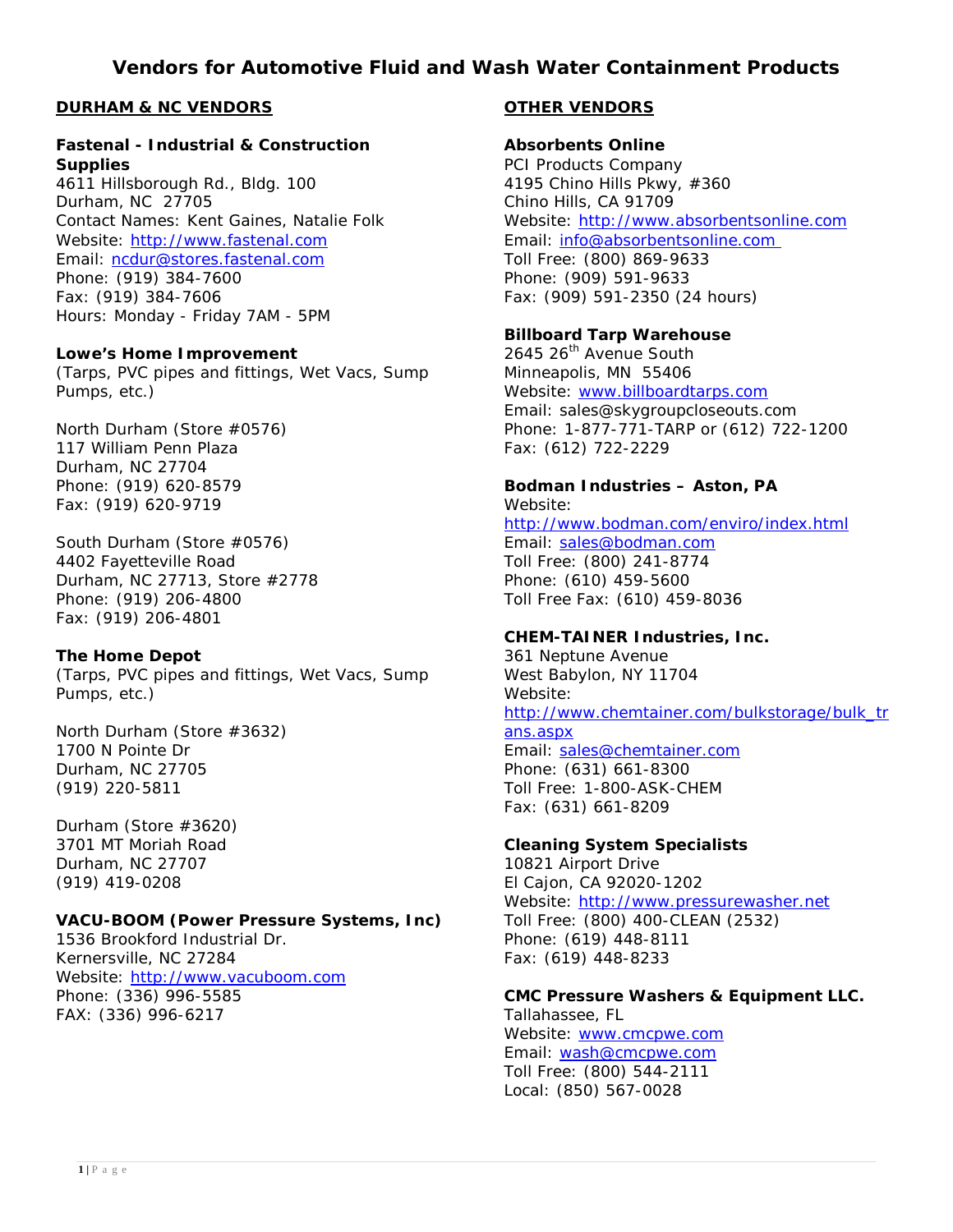# **Vendors for Automotive Fluid and Wash Water Containment Products**

# **DURHAM & NC VENDORS**

#### **Fastenal - Industrial & Construction Supplies**

4611 Hillsborough Rd., Bldg. 100 Durham, NC 27705 Contact Names: Kent Gaines, Natalie Folk Website: [http://www.fastenal.com](http://www.fastenal.com/) Email: [ncdur@stores.fastenal.com](mailto:ncdur@stores.fastenal.com) Phone: (919) 384-7600 Fax: (919) 384-7606 Hours: Monday - Friday 7AM - 5PM

#### **Lowe's Home Improvement**

(Tarps, PVC pipes and fittings, Wet Vacs, Sump Pumps, etc.)

North Durham (Store #0576) 117 William Penn Plaza Durham, NC 27704 Phone: (919) 620-8579 Fax: (919) 620-9719

South Durham (Store #0576) 4402 Fayetteville Road Durham, NC 27713, Store #2778 Phone: (919) 206-4800 Fax: (919) 206-4801

#### **The Home Depot**

(Tarps, PVC pipes and fittings, Wet Vacs, Sump Pumps, etc.)

North Durham (Store #3632) 1700 N Pointe Dr Durham, NC 27705 (919) 220-5811

Durham (Store #3620) 3701 MT Moriah Road Durham, NC 27707 (919) 419-0208

#### **VACU-BOOM (Power Pressure Systems, Inc)**

1536 Brookford Industrial Dr. Kernersville, NC 27284 Website: [http://www.vacuboom.com](http://www.vacuboom.com/) Phone: (336) 996-5585 FAX: (336) 996-6217

### **OTHER VENDORS**

# **Absorbents Online**

PCI Products Company 4195 Chino Hills Pkwy, #360 Chino Hills, CA 91709 Website: [http://www.absorbentsonline.com](http://www.absorbentsonline.com/) Email: [info@absorbentsonline.com](mailto:info@absorbentsonline.com) Toll Free: (800) 869-9633 Phone: (909) 591-9633 Fax: (909) 591-2350 (24 hours)

### **Billboard Tarp Warehouse**

2645 26<sup>th</sup> Avenue South Minneapolis, MN 55406 Website: [www.billboardtarps.com](http://www.billboardtarps.com/) Email: sales@skygroupcloseouts.com Phone: 1-877-771-TARP or (612) 722-1200 Fax: (612) 722-2229

**Bodman Industries – Aston, PA** Website: <http://www.bodman.com/enviro/index.html> Email: [sales@bodman.com](mailto:sales@bodman.com) Toll Free: (800) 241-8774 Phone: (610) 459-5600

Toll Free Fax: (610) 459-8036

### **CHEM-TAINER Industries, Inc.**

361 Neptune Avenue West Babylon, NY 11704 Website: [http://www.chemtainer.com/bulkstorage/bulk\\_tr](http://www.chemtainer.com/bulkstorage/bulk_trans.aspx) [ans.aspx](http://www.chemtainer.com/bulkstorage/bulk_trans.aspx) Email: [sales@chemtainer.com](mailto:sales@chemtainer.com) Phone: (631) 661-8300 Toll Free: 1-800-ASK-CHEM Fax: (631) 661-8209

#### **Cleaning System Specialists**

10821 Airport Drive El Cajon, CA 92020-1202 Website: [http://www.pressurewasher.net](http://www.pressurewasher.net/) Toll Free: (800) 400-CLEAN (2532) Phone: (619) 448-8111 Fax: (619) 448-8233

### **CMC Pressure Washers & Equipment LLC.**

Tallahassee, FL Website: [www.cmcpwe.com](http://www.cmcpwe.com/) Email: [wash@cmcpwe.com](mailto:wash@cmcpwe.com) Toll Free: (800) 544-2111 Local: (850) 567-0028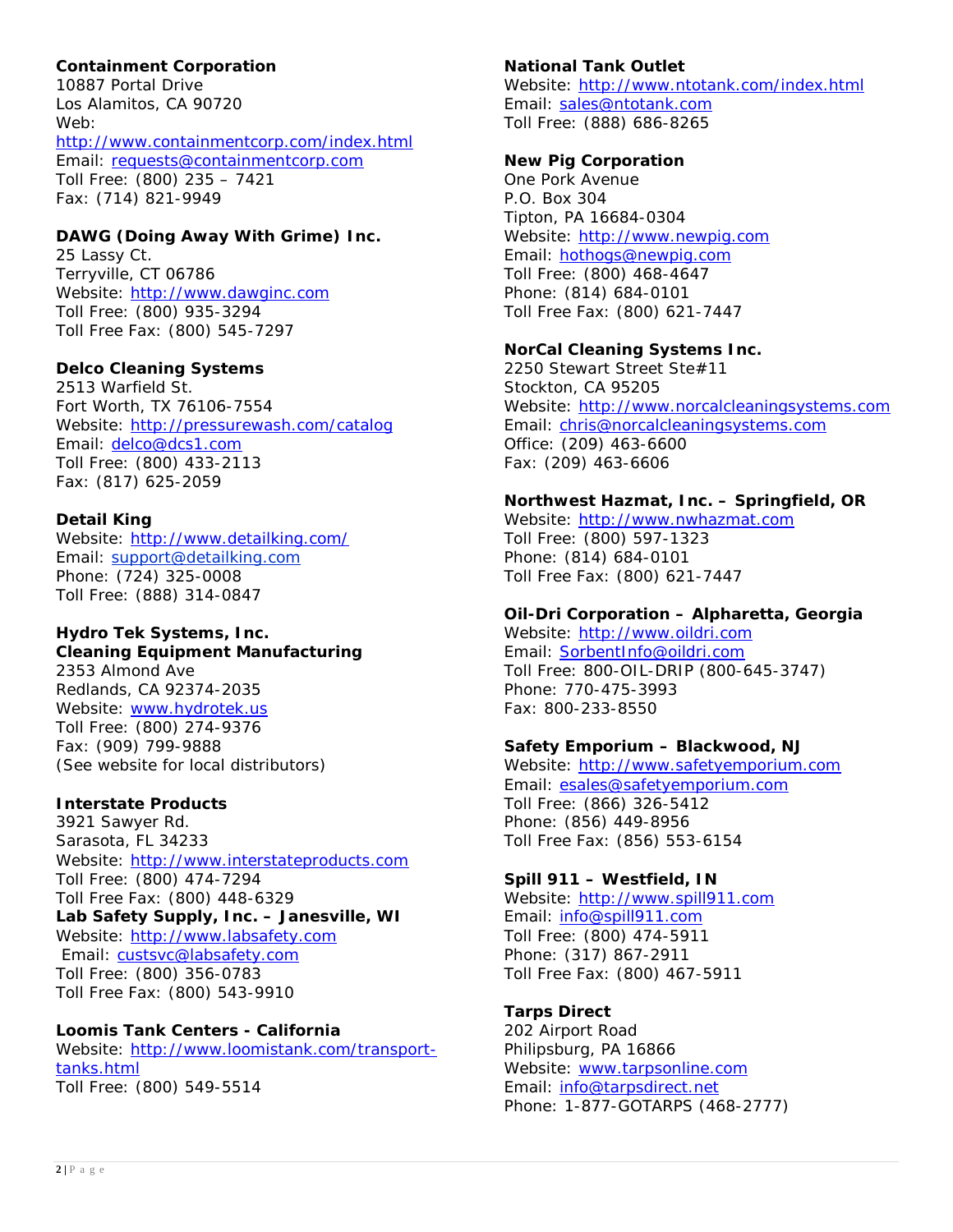# **Containment Corporation**

10887 Portal Drive Los Alamitos, CA 90720 Web: <http://www.containmentcorp.com/index.html> Email: [requests@containmentcorp.com](mailto:requests@containmentcorp.com) Toll Free: (800) 235 – 7421 Fax: (714) 821-9949

# **DAWG (Doing Away With Grime) Inc.**

25 Lassy Ct. Terryville, CT 06786 Website: [http://www.dawginc.com](http://www.dawginc.com/) Toll Free: (800) 935-3294 Toll Free Fax: (800) 545-7297

### **Delco Cleaning Systems**

2513 Warfield St. Fort Worth, TX 76106-7554 Website:<http://pressurewash.com/catalog> Email: [delco@dcs1.com](mailto:delco@dcs1.com) Toll Free: (800) 433-2113 Fax: (817) 625-2059

### **Detail King**

Website:<http://www.detailking.com/> Email: [support@detailking.com](mailto:support@detailking.com) Phone: (724) 325-0008 Toll Free: (888) 314-0847

#### **Hydro Tek Systems, Inc. Cleaning Equipment Manufacturing**

2353 Almond Ave Redlands, CA 92374-2035 Website: [www.hydrotek.us](http://www.hydrotek.us/) Toll Free: (800) 274-9376 Fax: (909) 799-9888 (See website for local distributors)

### **Interstate Products**

3921 Sawyer Rd. Sarasota, FL 34233 Website: [http://www.interstateproducts.com](http://www.interstateproducts.com/) Toll Free: (800) 474-7294 Toll Free Fax: (800) 448-6329 **Lab Safety Supply, Inc. – Janesville, WI** Website: [http://www.labsafety.com](http://www.labsafety.com/) Email: [custsvc@labsafety.com](mailto:custsvc@labsafety.com) Toll Free: (800) 356-0783 Toll Free Fax: (800) 543-9910

### **Loomis Tank Centers - California**

Website: [http://www.loomistank.com/transport](http://www.loomistank.com/transport-tanks.html)[tanks.html](http://www.loomistank.com/transport-tanks.html) Toll Free: (800) 549-5514

### **National Tank Outlet**

Website:<http://www.ntotank.com/index.html> Email: [sales@ntotank.com](mailto:sales@ntotank.com) Toll Free: (888) 686-8265

#### **New Pig Corporation**

One Pork Avenue P.O. Box 304 Tipton, PA 16684-0304 Website: [http://www.newpig.com](http://www.newpig.com/) Email: [hothogs@newpig.com](mailto:hothogs@newpig.com) Toll Free: (800) 468-4647 Phone: (814) 684-0101 Toll Free Fax: (800) 621-7447

#### **NorCal Cleaning Systems Inc.**

2250 Stewart Street Ste#11 Stockton, CA 95205 Website: [http://www.norcalcleaningsystems.com](http://www.norcalcleaningsystems.com/) Email: [chris@norcalcleaningsystems.com](mailto:chris@norcalcleaningsystems.com) Office: (209) 463-6600 Fax: (209) 463-6606

#### **Northwest Hazmat, Inc. – Springfield, OR**

Website: [http://www.nwhazmat.com](http://www.nwhazmat.com/) Toll Free: (800) 597-1323 Phone: (814) 684-0101 Toll Free Fax: (800) 621-7447

### **Oil-Dri Corporation – Alpharetta, Georgia**

Website: [http://www.oildri.com](http://www.oildri.com/) Email: [SorbentInfo@oildri.com](mailto:sorbentinfo@oildri.com) Toll Free: 800-OIL-DRIP (800-645-3747) Phone: 770-475-3993 Fax: 800-233-8550

### **Safety Emporium – Blackwood, NJ**

Website: [http://www.safetyemporium.com](http://www.safetyemporium.com/) Email: [esales@safetyemporium.com](mailto:esales@safetyemporium.com) Toll Free: (866) 326-5412 Phone: (856) 449-8956 Toll Free Fax: (856) 553-6154

## **Spill 911 – Westfield, IN**

Website: [http://www.spill911.com](http://www.spill911.com/) Email: [info@spill911.com](mailto:info@spill911.com) Toll Free: (800) 474-5911 Phone: (317) 867-2911 Toll Free Fax: (800) 467-5911

### **Tarps Direct**

202 Airport Road Philipsburg, PA 16866 Website: [www.tarpsonline.com](http://www.tarpsonline.com/) Email: [info@tarpsdirect.net](mailto:info@tarpsdirect.net) Phone: 1-877-GOTARPS (468-2777)